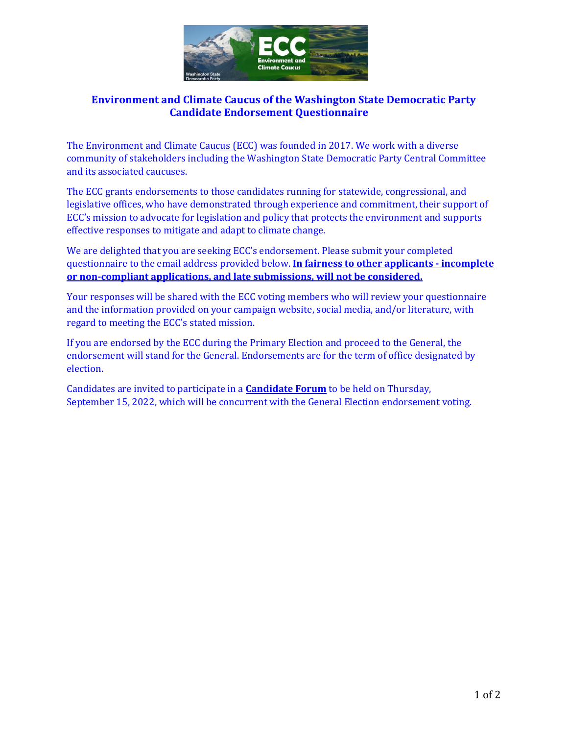

# **Environment and Climate Caucus of the Washington State Democratic Party Candidate Endorsement Questionnaire**

Th[e Environment and Climate Caucus \(](https://eccwa.wordpress.com/)ECC) was founded in 2017. We work with a diverse community of stakeholders including the Washington State Democratic Party Central Committee and its associated caucuses.

The ECC grants endorsements to those candidates running for statewide, congressional, and legislative offices, who have demonstrated through experience and commitment, their support of ECC's mission to advocate for legislation and policy that protects the environment and supports effective responses to mitigate and adapt to climate change.

We are delighted that you are seeking ECC's endorsement. Please submit your completed questionnaire to the email address provided below. **In fairness to other applicants - incomplete or non-compliant applications, and late submissions, will not be considered.**

Your responses will be shared with the ECC voting members who will review your questionnaire and the information provided on your campaign website, social media, and/or literature, with regard to meeting the ECC's stated mission.

If you are endorsed by the ECC during the Primary Election and proceed to the General, the endorsement will stand for the General. Endorsements are for the term of office designated by election.

Candidates are invited to participate in a **Candidate Forum** to be held on Thursday, September 15, 2022, which will be concurrent with the General Election endorsement voting.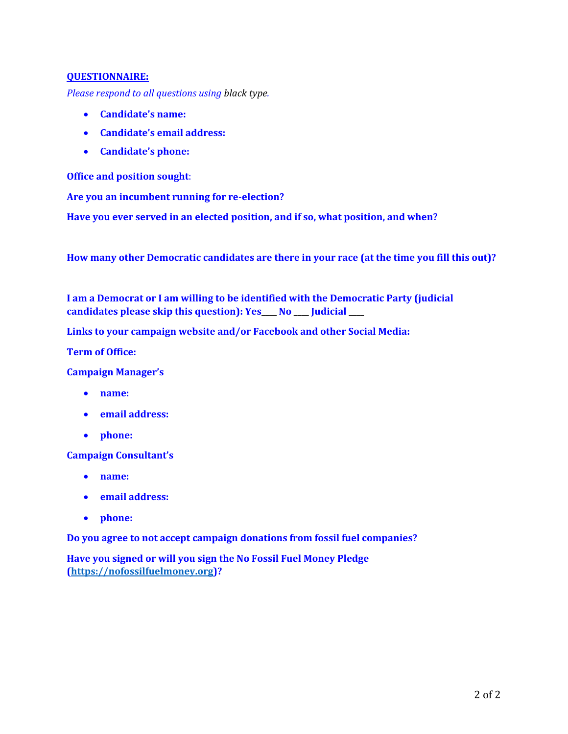## **QUESTIONNAIRE:**

*Please respond to all questions using black type.* 

- **Candidate's name:**
- **Candidate's email address:**
- **Candidate's phone:**

**Office and position sought**:

**Are you an incumbent running for re-election?**

**Have you ever served in an elected position, and if so, what position, and when?**

**How many other Democratic candidates are there in your race (at the time you fill this out)?**

**I am a Democrat or I am willing to be identified with the Democratic Party (judicial candidates please skip this question): Yes\_\_\_\_ No \_\_\_\_ Judicial \_\_\_\_**

**Links to your campaign website and/or Facebook and other Social Media:**

**Term of Office:**

**Campaign Manager's**

- **name:**
- **email address:**
- **phone:**

**Campaign Consultant's**

- **name:**
- **email address:**
- **phone:**

**Do you agree to not accept campaign donations from fossil fuel companies?**

**Have you signed or will you sign the No Fossil Fuel Money Pledge [\(https://nofossilfuelmoney.org\)](https://nofossilfuelmoney.org/)?**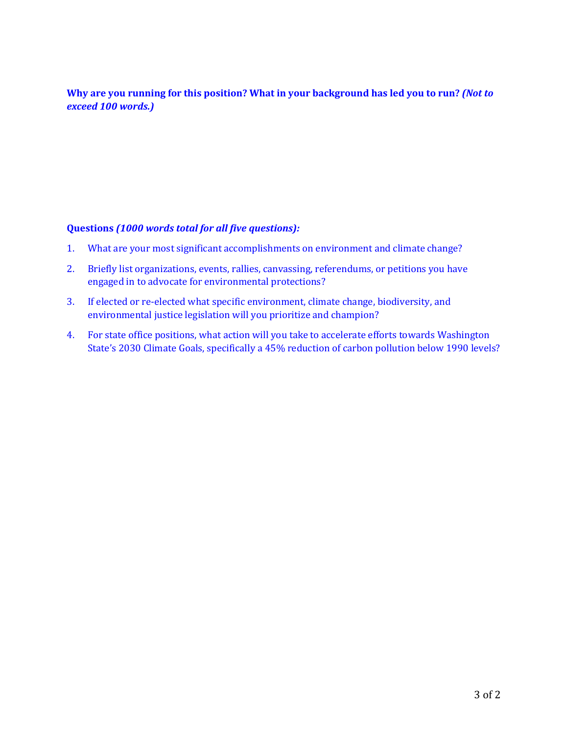**Why are you running for this position? What in your background has led you to run?** *(Not to exceed 100 words.)*

# **Questions** *(1000 words total for all five questions):*

- 1. What are your most significant accomplishments on environment and climate change?
- 2. Briefly list organizations, events, rallies, canvassing, referendums, or petitions you have engaged in to advocate for environmental protections?
- 3. If elected or re-elected what specific environment, climate change, biodiversity, and environmental justice legislation will you prioritize and champion?
- 4. For state office positions, what action will you take to accelerate efforts towards Washington State's 2030 Climate Goals, specifically a 45% reduction of carbon pollution below 1990 levels?